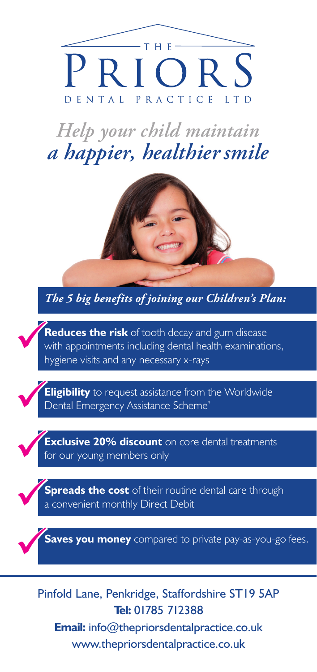

*Help your child maintain a happier, healthiersmile*



*The 5 big benefits of joining our Children's Plan:*

**Reduces the risk** of tooth decay and gum disease<br>with appointments including dental health examinations,<br>hygiene visits and any necessary x-rays hygiene visits and any necessary x-rays

**Eligibility** to request assistance from the Worldwide<br>
Dental Emergency Assistance Scheme<sup>\*</sup>

**Exclusive 20% discount** on core dental treatments for our young members only

**Spreads the cost** of their routine dental care through a convenient monthly Direct Debit

**Saves you money** compared to private pay-as-you-go fees.

Pinfold Lane, Penkridge, Staffordshire ST19 5AP **Tel:** 01785 712388 **Email:** info@thepriorsdentalpractice.co.uk www.thepriorsdentalpractice.co.uk